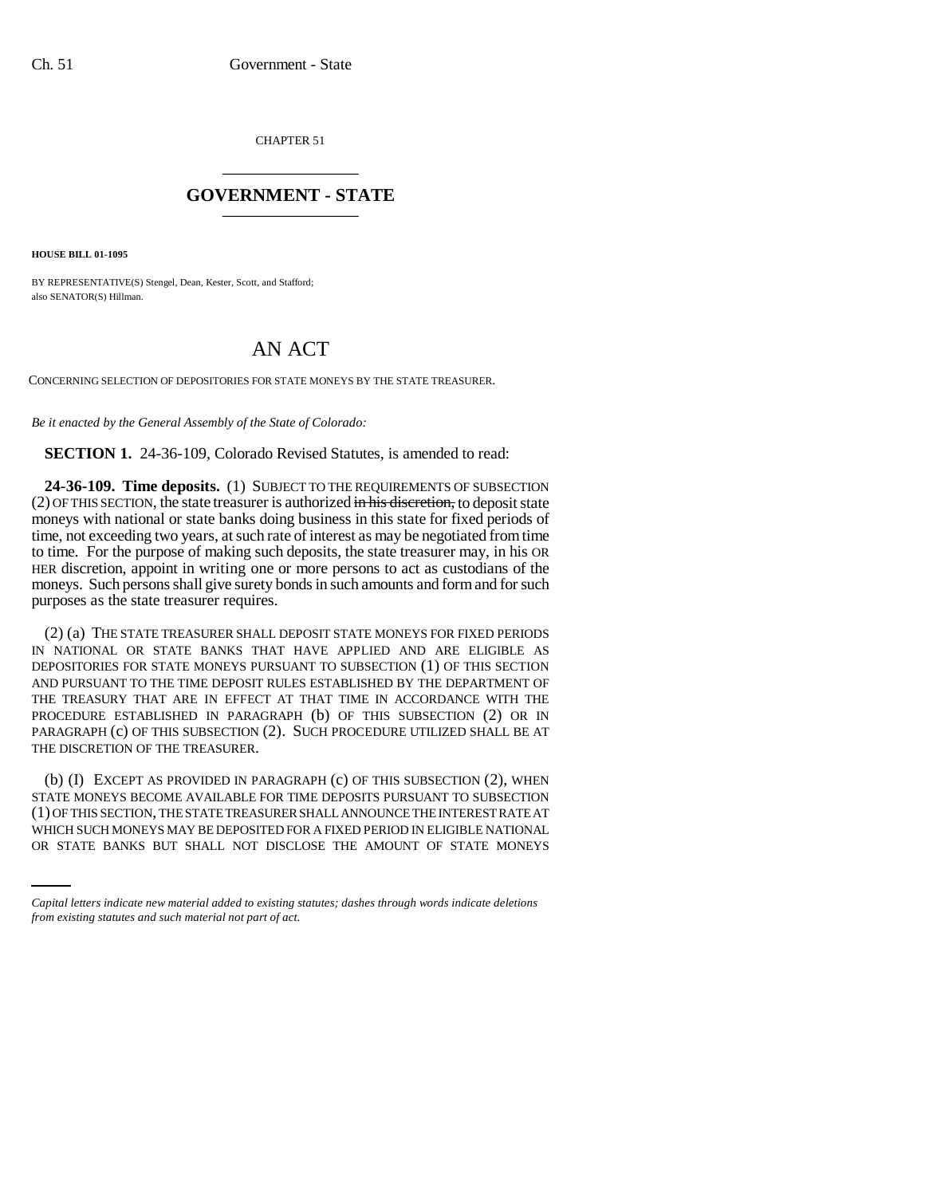CHAPTER 51 \_\_\_\_\_\_\_\_\_\_\_\_\_\_\_

## **GOVERNMENT - STATE** \_\_\_\_\_\_\_\_\_\_\_\_\_\_\_

**HOUSE BILL 01-1095**

BY REPRESENTATIVE(S) Stengel, Dean, Kester, Scott, and Stafford; also SENATOR(S) Hillman.

# AN ACT

CONCERNING SELECTION OF DEPOSITORIES FOR STATE MONEYS BY THE STATE TREASURER.

*Be it enacted by the General Assembly of the State of Colorado:*

**SECTION 1.** 24-36-109, Colorado Revised Statutes, is amended to read:

**24-36-109. Time deposits.** (1) SUBJECT TO THE REQUIREMENTS OF SUBSECTION  $(2)$  OF THIS SECTION, the state treasurer is authorized  $\overline{m}$  his discretion, to deposit state moneys with national or state banks doing business in this state for fixed periods of time, not exceeding two years, at such rate of interest as may be negotiated from time to time. For the purpose of making such deposits, the state treasurer may, in his OR HER discretion, appoint in writing one or more persons to act as custodians of the moneys. Such persons shall give surety bonds in such amounts and form and for such purposes as the state treasurer requires.

(2) (a) THE STATE TREASURER SHALL DEPOSIT STATE MONEYS FOR FIXED PERIODS IN NATIONAL OR STATE BANKS THAT HAVE APPLIED AND ARE ELIGIBLE AS DEPOSITORIES FOR STATE MONEYS PURSUANT TO SUBSECTION (1) OF THIS SECTION AND PURSUANT TO THE TIME DEPOSIT RULES ESTABLISHED BY THE DEPARTMENT OF THE TREASURY THAT ARE IN EFFECT AT THAT TIME IN ACCORDANCE WITH THE PROCEDURE ESTABLISHED IN PARAGRAPH (b) OF THIS SUBSECTION (2) OR IN PARAGRAPH (c) OF THIS SUBSECTION (2). SUCH PROCEDURE UTILIZED SHALL BE AT THE DISCRETION OF THE TREASURER.

(1) OF THIS SECTION, THE STATE TREASURER SHALL ANNOUNCE THE INTEREST RATE AT (b) (I) EXCEPT AS PROVIDED IN PARAGRAPH (c) OF THIS SUBSECTION (2), WHEN STATE MONEYS BECOME AVAILABLE FOR TIME DEPOSITS PURSUANT TO SUBSECTION WHICH SUCH MONEYS MAY BE DEPOSITED FOR A FIXED PERIOD IN ELIGIBLE NATIONAL OR STATE BANKS BUT SHALL NOT DISCLOSE THE AMOUNT OF STATE MONEYS

*Capital letters indicate new material added to existing statutes; dashes through words indicate deletions from existing statutes and such material not part of act.*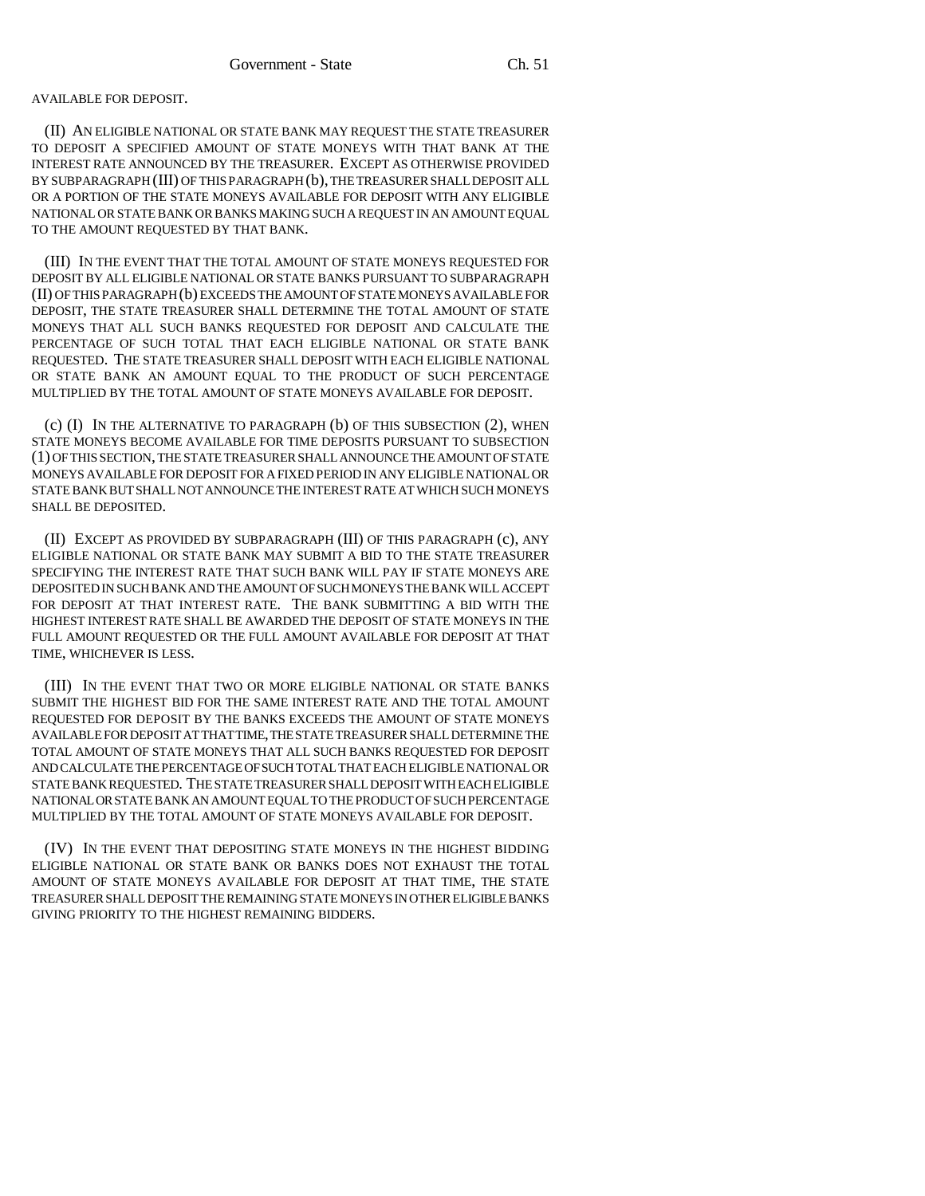#### AVAILABLE FOR DEPOSIT.

(II) AN ELIGIBLE NATIONAL OR STATE BANK MAY REQUEST THE STATE TREASURER TO DEPOSIT A SPECIFIED AMOUNT OF STATE MONEYS WITH THAT BANK AT THE INTEREST RATE ANNOUNCED BY THE TREASURER. EXCEPT AS OTHERWISE PROVIDED BY SUBPARAGRAPH (III) OF THIS PARAGRAPH (b), THE TREASURER SHALL DEPOSIT ALL OR A PORTION OF THE STATE MONEYS AVAILABLE FOR DEPOSIT WITH ANY ELIGIBLE NATIONAL OR STATE BANK OR BANKS MAKING SUCH A REQUEST IN AN AMOUNT EQUAL TO THE AMOUNT REQUESTED BY THAT BANK.

(III) IN THE EVENT THAT THE TOTAL AMOUNT OF STATE MONEYS REQUESTED FOR DEPOSIT BY ALL ELIGIBLE NATIONAL OR STATE BANKS PURSUANT TO SUBPARAGRAPH (II) OF THIS PARAGRAPH (b) EXCEEDS THE AMOUNT OF STATE MONEYS AVAILABLE FOR DEPOSIT, THE STATE TREASURER SHALL DETERMINE THE TOTAL AMOUNT OF STATE MONEYS THAT ALL SUCH BANKS REQUESTED FOR DEPOSIT AND CALCULATE THE PERCENTAGE OF SUCH TOTAL THAT EACH ELIGIBLE NATIONAL OR STATE BANK REQUESTED. THE STATE TREASURER SHALL DEPOSIT WITH EACH ELIGIBLE NATIONAL OR STATE BANK AN AMOUNT EQUAL TO THE PRODUCT OF SUCH PERCENTAGE MULTIPLIED BY THE TOTAL AMOUNT OF STATE MONEYS AVAILABLE FOR DEPOSIT.

(c) (I) IN THE ALTERNATIVE TO PARAGRAPH (b) OF THIS SUBSECTION (2), WHEN STATE MONEYS BECOME AVAILABLE FOR TIME DEPOSITS PURSUANT TO SUBSECTION (1) OF THIS SECTION, THE STATE TREASURER SHALL ANNOUNCE THE AMOUNT OF STATE MONEYS AVAILABLE FOR DEPOSIT FOR A FIXED PERIOD IN ANY ELIGIBLE NATIONAL OR STATE BANK BUT SHALL NOT ANNOUNCE THE INTEREST RATE AT WHICH SUCH MONEYS SHALL BE DEPOSITED.

(II) EXCEPT AS PROVIDED BY SUBPARAGRAPH (III) OF THIS PARAGRAPH (c), ANY ELIGIBLE NATIONAL OR STATE BANK MAY SUBMIT A BID TO THE STATE TREASURER SPECIFYING THE INTEREST RATE THAT SUCH BANK WILL PAY IF STATE MONEYS ARE DEPOSITED IN SUCH BANK AND THE AMOUNT OF SUCH MONEYS THE BANK WILL ACCEPT FOR DEPOSIT AT THAT INTEREST RATE. THE BANK SUBMITTING A BID WITH THE HIGHEST INTEREST RATE SHALL BE AWARDED THE DEPOSIT OF STATE MONEYS IN THE FULL AMOUNT REQUESTED OR THE FULL AMOUNT AVAILABLE FOR DEPOSIT AT THAT TIME, WHICHEVER IS LESS.

(III) IN THE EVENT THAT TWO OR MORE ELIGIBLE NATIONAL OR STATE BANKS SUBMIT THE HIGHEST BID FOR THE SAME INTEREST RATE AND THE TOTAL AMOUNT REQUESTED FOR DEPOSIT BY THE BANKS EXCEEDS THE AMOUNT OF STATE MONEYS AVAILABLE FOR DEPOSIT AT THAT TIME, THE STATE TREASURER SHALL DETERMINE THE TOTAL AMOUNT OF STATE MONEYS THAT ALL SUCH BANKS REQUESTED FOR DEPOSIT AND CALCULATE THE PERCENTAGE OF SUCH TOTAL THAT EACH ELIGIBLE NATIONAL OR STATE BANK REQUESTED. THE STATE TREASURER SHALL DEPOSIT WITH EACH ELIGIBLE NATIONAL OR STATE BANK AN AMOUNT EQUAL TO THE PRODUCT OF SUCH PERCENTAGE MULTIPLIED BY THE TOTAL AMOUNT OF STATE MONEYS AVAILABLE FOR DEPOSIT.

(IV) IN THE EVENT THAT DEPOSITING STATE MONEYS IN THE HIGHEST BIDDING ELIGIBLE NATIONAL OR STATE BANK OR BANKS DOES NOT EXHAUST THE TOTAL AMOUNT OF STATE MONEYS AVAILABLE FOR DEPOSIT AT THAT TIME, THE STATE TREASURER SHALL DEPOSIT THE REMAINING STATE MONEYS IN OTHER ELIGIBLE BANKS GIVING PRIORITY TO THE HIGHEST REMAINING BIDDERS.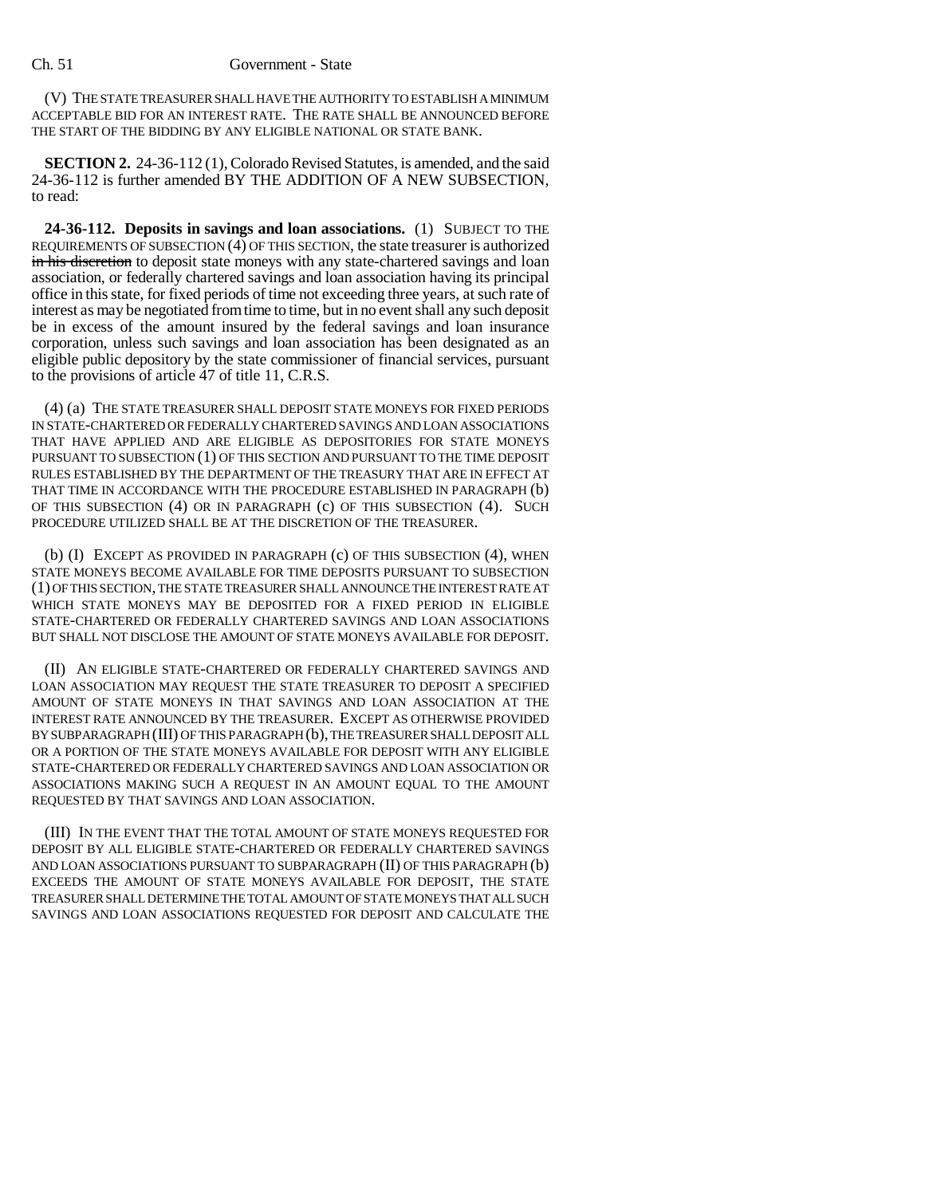#### Ch. 51 Government - State

(V) THE STATE TREASURER SHALL HAVE THE AUTHORITY TO ESTABLISH A MINIMUM ACCEPTABLE BID FOR AN INTEREST RATE. THE RATE SHALL BE ANNOUNCED BEFORE THE START OF THE BIDDING BY ANY ELIGIBLE NATIONAL OR STATE BANK.

**SECTION 2.** 24-36-112 (1), Colorado Revised Statutes, is amended, and the said 24-36-112 is further amended BY THE ADDITION OF A NEW SUBSECTION, to read:

**24-36-112. Deposits in savings and loan associations.** (1) SUBJECT TO THE REQUIREMENTS OF SUBSECTION (4) OF THIS SECTION, the state treasurer is authorized in his discretion to deposit state moneys with any state-chartered savings and loan association, or federally chartered savings and loan association having its principal office in this state, for fixed periods of time not exceeding three years, at such rate of interest as may be negotiated from time to time, but in no event shall any such deposit be in excess of the amount insured by the federal savings and loan insurance corporation, unless such savings and loan association has been designated as an eligible public depository by the state commissioner of financial services, pursuant to the provisions of article 47 of title 11, C.R.S.

(4) (a) THE STATE TREASURER SHALL DEPOSIT STATE MONEYS FOR FIXED PERIODS IN STATE-CHARTERED OR FEDERALLY CHARTERED SAVINGS AND LOAN ASSOCIATIONS THAT HAVE APPLIED AND ARE ELIGIBLE AS DEPOSITORIES FOR STATE MONEYS PURSUANT TO SUBSECTION (1) OF THIS SECTION AND PURSUANT TO THE TIME DEPOSIT RULES ESTABLISHED BY THE DEPARTMENT OF THE TREASURY THAT ARE IN EFFECT AT THAT TIME IN ACCORDANCE WITH THE PROCEDURE ESTABLISHED IN PARAGRAPH (b) OF THIS SUBSECTION (4) OR IN PARAGRAPH (c) OF THIS SUBSECTION (4). SUCH PROCEDURE UTILIZED SHALL BE AT THE DISCRETION OF THE TREASURER.

(b) (I) EXCEPT AS PROVIDED IN PARAGRAPH (c) OF THIS SUBSECTION (4), WHEN STATE MONEYS BECOME AVAILABLE FOR TIME DEPOSITS PURSUANT TO SUBSECTION (1) OF THIS SECTION, THE STATE TREASURER SHALL ANNOUNCE THE INTEREST RATE AT WHICH STATE MONEYS MAY BE DEPOSITED FOR A FIXED PERIOD IN ELIGIBLE STATE-CHARTERED OR FEDERALLY CHARTERED SAVINGS AND LOAN ASSOCIATIONS BUT SHALL NOT DISCLOSE THE AMOUNT OF STATE MONEYS AVAILABLE FOR DEPOSIT.

(II) AN ELIGIBLE STATE-CHARTERED OR FEDERALLY CHARTERED SAVINGS AND LOAN ASSOCIATION MAY REQUEST THE STATE TREASURER TO DEPOSIT A SPECIFIED AMOUNT OF STATE MONEYS IN THAT SAVINGS AND LOAN ASSOCIATION AT THE INTEREST RATE ANNOUNCED BY THE TREASURER. EXCEPT AS OTHERWISE PROVIDED BY SUBPARAGRAPH (III) OF THIS PARAGRAPH (b), THE TREASURER SHALL DEPOSIT ALL OR A PORTION OF THE STATE MONEYS AVAILABLE FOR DEPOSIT WITH ANY ELIGIBLE STATE-CHARTERED OR FEDERALLY CHARTERED SAVINGS AND LOAN ASSOCIATION OR ASSOCIATIONS MAKING SUCH A REQUEST IN AN AMOUNT EQUAL TO THE AMOUNT REQUESTED BY THAT SAVINGS AND LOAN ASSOCIATION.

(III) IN THE EVENT THAT THE TOTAL AMOUNT OF STATE MONEYS REQUESTED FOR DEPOSIT BY ALL ELIGIBLE STATE-CHARTERED OR FEDERALLY CHARTERED SAVINGS AND LOAN ASSOCIATIONS PURSUANT TO SUBPARAGRAPH (II) OF THIS PARAGRAPH (b) EXCEEDS THE AMOUNT OF STATE MONEYS AVAILABLE FOR DEPOSIT, THE STATE TREASURER SHALL DETERMINE THE TOTAL AMOUNT OF STATE MONEYS THAT ALL SUCH SAVINGS AND LOAN ASSOCIATIONS REQUESTED FOR DEPOSIT AND CALCULATE THE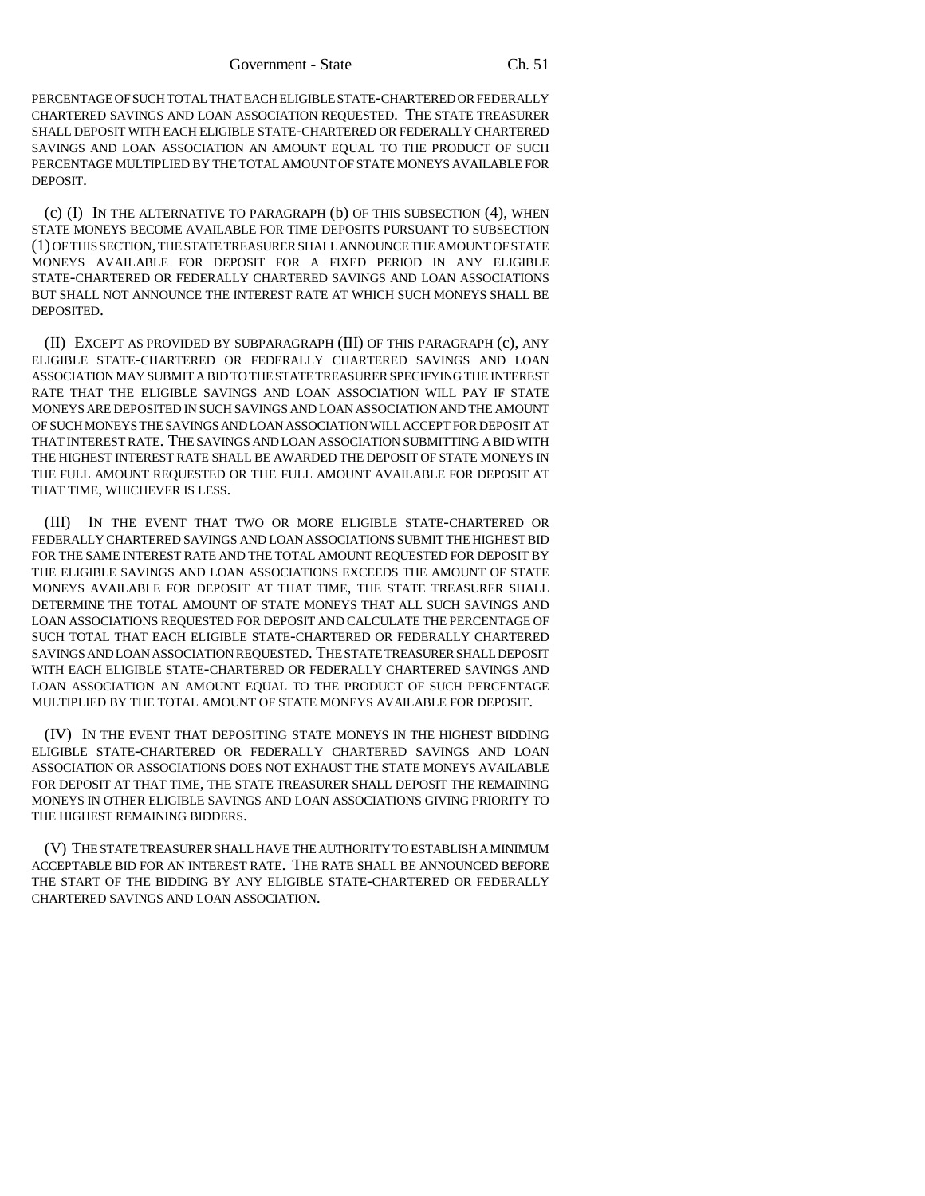PERCENTAGE OF SUCH TOTAL THAT EACH ELIGIBLE STATE-CHARTERED OR FEDERALLY CHARTERED SAVINGS AND LOAN ASSOCIATION REQUESTED. THE STATE TREASURER SHALL DEPOSIT WITH EACH ELIGIBLE STATE-CHARTERED OR FEDERALLY CHARTERED SAVINGS AND LOAN ASSOCIATION AN AMOUNT EQUAL TO THE PRODUCT OF SUCH PERCENTAGE MULTIPLIED BY THE TOTAL AMOUNT OF STATE MONEYS AVAILABLE FOR DEPOSIT.

(c) (I) IN THE ALTERNATIVE TO PARAGRAPH (b) OF THIS SUBSECTION (4), WHEN STATE MONEYS BECOME AVAILABLE FOR TIME DEPOSITS PURSUANT TO SUBSECTION (1) OF THIS SECTION, THE STATE TREASURER SHALL ANNOUNCE THE AMOUNT OF STATE MONEYS AVAILABLE FOR DEPOSIT FOR A FIXED PERIOD IN ANY ELIGIBLE STATE-CHARTERED OR FEDERALLY CHARTERED SAVINGS AND LOAN ASSOCIATIONS BUT SHALL NOT ANNOUNCE THE INTEREST RATE AT WHICH SUCH MONEYS SHALL BE DEPOSITED.

(II) EXCEPT AS PROVIDED BY SUBPARAGRAPH (III) OF THIS PARAGRAPH (c), ANY ELIGIBLE STATE-CHARTERED OR FEDERALLY CHARTERED SAVINGS AND LOAN ASSOCIATION MAY SUBMIT A BID TO THE STATE TREASURER SPECIFYING THE INTEREST RATE THAT THE ELIGIBLE SAVINGS AND LOAN ASSOCIATION WILL PAY IF STATE MONEYS ARE DEPOSITED IN SUCH SAVINGS AND LOAN ASSOCIATION AND THE AMOUNT OF SUCH MONEYS THE SAVINGS AND LOAN ASSOCIATION WILL ACCEPT FOR DEPOSIT AT THAT INTEREST RATE. THE SAVINGS AND LOAN ASSOCIATION SUBMITTING A BID WITH THE HIGHEST INTEREST RATE SHALL BE AWARDED THE DEPOSIT OF STATE MONEYS IN THE FULL AMOUNT REQUESTED OR THE FULL AMOUNT AVAILABLE FOR DEPOSIT AT THAT TIME, WHICHEVER IS LESS.

(III) IN THE EVENT THAT TWO OR MORE ELIGIBLE STATE-CHARTERED OR FEDERALLY CHARTERED SAVINGS AND LOAN ASSOCIATIONS SUBMIT THE HIGHEST BID FOR THE SAME INTEREST RATE AND THE TOTAL AMOUNT REQUESTED FOR DEPOSIT BY THE ELIGIBLE SAVINGS AND LOAN ASSOCIATIONS EXCEEDS THE AMOUNT OF STATE MONEYS AVAILABLE FOR DEPOSIT AT THAT TIME, THE STATE TREASURER SHALL DETERMINE THE TOTAL AMOUNT OF STATE MONEYS THAT ALL SUCH SAVINGS AND LOAN ASSOCIATIONS REQUESTED FOR DEPOSIT AND CALCULATE THE PERCENTAGE OF SUCH TOTAL THAT EACH ELIGIBLE STATE-CHARTERED OR FEDERALLY CHARTERED SAVINGS AND LOAN ASSOCIATION REQUESTED. THE STATE TREASURER SHALL DEPOSIT WITH EACH ELIGIBLE STATE-CHARTERED OR FEDERALLY CHARTERED SAVINGS AND LOAN ASSOCIATION AN AMOUNT EQUAL TO THE PRODUCT OF SUCH PERCENTAGE MULTIPLIED BY THE TOTAL AMOUNT OF STATE MONEYS AVAILABLE FOR DEPOSIT.

(IV) IN THE EVENT THAT DEPOSITING STATE MONEYS IN THE HIGHEST BIDDING ELIGIBLE STATE-CHARTERED OR FEDERALLY CHARTERED SAVINGS AND LOAN ASSOCIATION OR ASSOCIATIONS DOES NOT EXHAUST THE STATE MONEYS AVAILABLE FOR DEPOSIT AT THAT TIME, THE STATE TREASURER SHALL DEPOSIT THE REMAINING MONEYS IN OTHER ELIGIBLE SAVINGS AND LOAN ASSOCIATIONS GIVING PRIORITY TO THE HIGHEST REMAINING BIDDERS.

(V) THE STATE TREASURER SHALL HAVE THE AUTHORITY TO ESTABLISH A MINIMUM ACCEPTABLE BID FOR AN INTEREST RATE. THE RATE SHALL BE ANNOUNCED BEFORE THE START OF THE BIDDING BY ANY ELIGIBLE STATE-CHARTERED OR FEDERALLY CHARTERED SAVINGS AND LOAN ASSOCIATION.